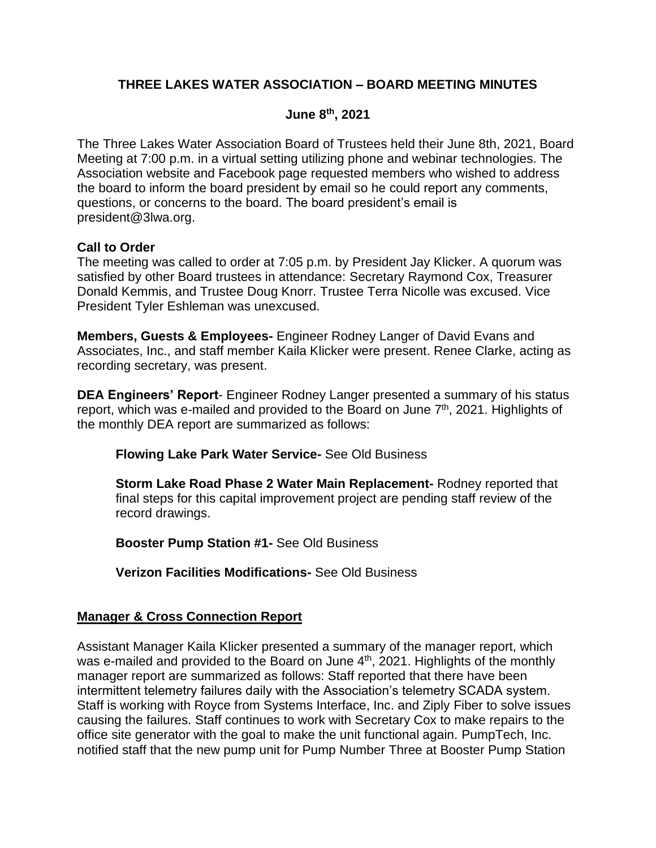# **THREE LAKES WATER ASSOCIATION – BOARD MEETING MINUTES**

## **June 8 th, 2021**

The Three Lakes Water Association Board of Trustees held their June 8th, 2021, Board Meeting at 7:00 p.m. in a virtual setting utilizing phone and webinar technologies. The Association website and Facebook page requested members who wished to address the board to inform the board president by email so he could report any comments, questions, or concerns to the board. The board president's email is president@3lwa.org.

### **Call to Order**

The meeting was called to order at 7:05 p.m. by President Jay Klicker. A quorum was satisfied by other Board trustees in attendance: Secretary Raymond Cox, Treasurer Donald Kemmis, and Trustee Doug Knorr. Trustee Terra Nicolle was excused. Vice President Tyler Eshleman was unexcused.

**Members, Guests & Employees-** Engineer Rodney Langer of David Evans and Associates, Inc., and staff member Kaila Klicker were present. Renee Clarke, acting as recording secretary, was present.

**DEA Engineers' Report**- Engineer Rodney Langer presented a summary of his status report, which was e-mailed and provided to the Board on June  $7<sup>th</sup>$ , 2021. Highlights of the monthly DEA report are summarized as follows:

**Flowing Lake Park Water Service-** See Old Business

**Storm Lake Road Phase 2 Water Main Replacement-** Rodney reported that final steps for this capital improvement project are pending staff review of the record drawings.

**Booster Pump Station #1-** See Old Business

**Verizon Facilities Modifications-** See Old Business

### **Manager & Cross Connection Report**

Assistant Manager Kaila Klicker presented a summary of the manager report, which was e-mailed and provided to the Board on June  $4<sup>th</sup>$ , 2021. Highlights of the monthly manager report are summarized as follows: Staff reported that there have been intermittent telemetry failures daily with the Association's telemetry SCADA system. Staff is working with Royce from Systems Interface, Inc. and Ziply Fiber to solve issues causing the failures. Staff continues to work with Secretary Cox to make repairs to the office site generator with the goal to make the unit functional again. PumpTech, Inc. notified staff that the new pump unit for Pump Number Three at Booster Pump Station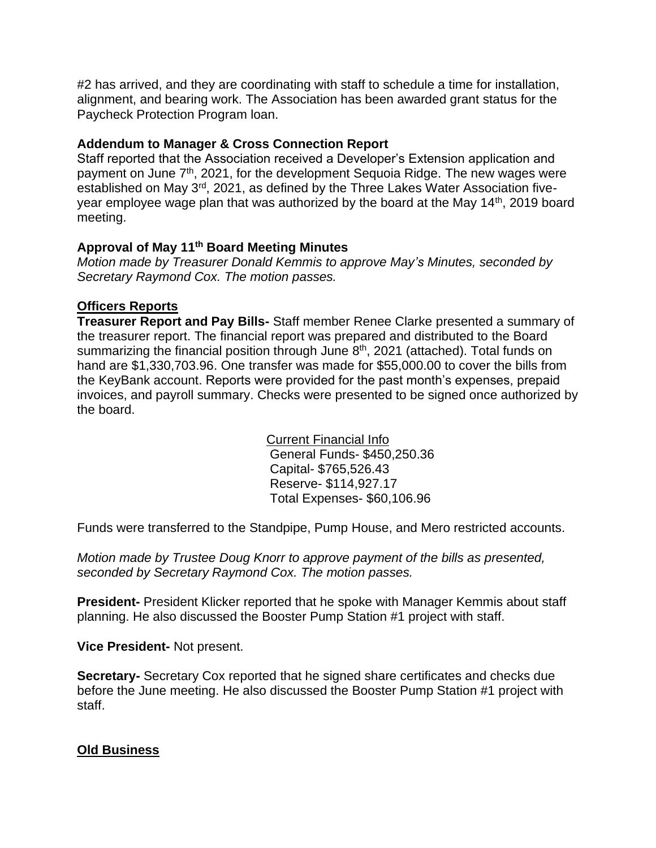#2 has arrived, and they are coordinating with staff to schedule a time for installation, alignment, and bearing work. The Association has been awarded grant status for the Paycheck Protection Program loan.

### **Addendum to Manager & Cross Connection Report**

Staff reported that the Association received a Developer's Extension application and payment on June 7<sup>th</sup>, 2021, for the development Sequoia Ridge. The new wages were established on May 3<sup>rd</sup>, 2021, as defined by the Three Lakes Water Association fiveyear employee wage plan that was authorized by the board at the May 14<sup>th</sup>, 2019 board meeting.

### **Approval of May 11th Board Meeting Minutes**

*Motion made by Treasurer Donald Kemmis to approve May's Minutes, seconded by Secretary Raymond Cox. The motion passes.*

### **Officers Reports**

**Treasurer Report and Pay Bills-** Staff member Renee Clarke presented a summary of the treasurer report. The financial report was prepared and distributed to the Board summarizing the financial position through June 8<sup>th</sup>, 2021 (attached). Total funds on hand are \$1,330,703.96. One transfer was made for \$55,000.00 to cover the bills from the KeyBank account. Reports were provided for the past month's expenses, prepaid invoices, and payroll summary. Checks were presented to be signed once authorized by the board.

> Current Financial Info General Funds- \$450,250.36 Capital- \$765,526.43 Reserve- \$114,927.17 Total Expenses- \$60,106.96

Funds were transferred to the Standpipe, Pump House, and Mero restricted accounts.

*Motion made by Trustee Doug Knorr to approve payment of the bills as presented, seconded by Secretary Raymond Cox. The motion passes.*

**President-** President Klicker reported that he spoke with Manager Kemmis about staff planning. He also discussed the Booster Pump Station #1 project with staff.

**Vice President-** Not present.

**Secretary-** Secretary Cox reported that he signed share certificates and checks due before the June meeting. He also discussed the Booster Pump Station #1 project with staff.

# **Old Business**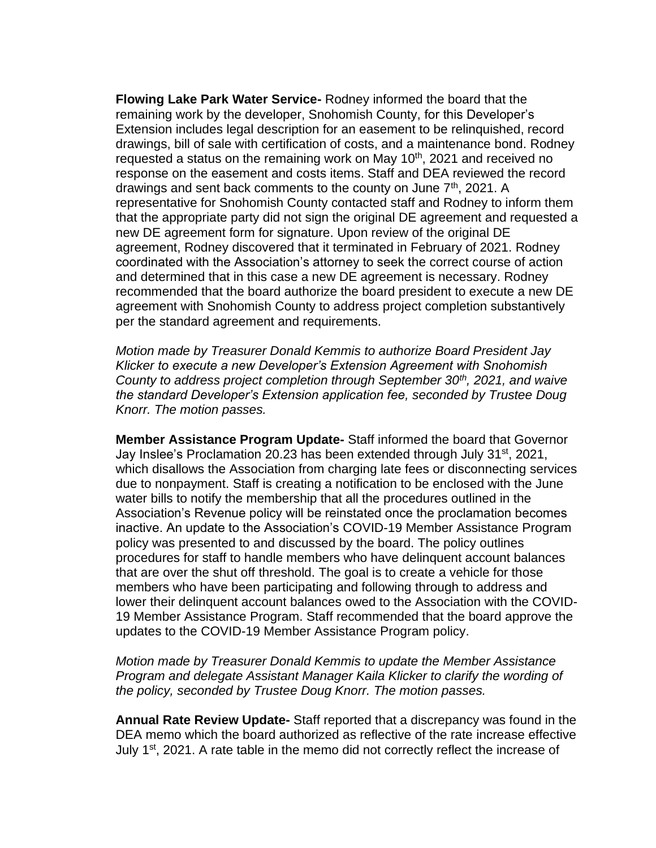**Flowing Lake Park Water Service-** Rodney informed the board that the remaining work by the developer, Snohomish County, for this Developer's Extension includes legal description for an easement to be relinquished, record drawings, bill of sale with certification of costs, and a maintenance bond. Rodney requested a status on the remaining work on May  $10<sup>th</sup>$ , 2021 and received no response on the easement and costs items. Staff and DEA reviewed the record drawings and sent back comments to the county on June  $7<sup>th</sup>$ , 2021. A representative for Snohomish County contacted staff and Rodney to inform them that the appropriate party did not sign the original DE agreement and requested a new DE agreement form for signature. Upon review of the original DE agreement, Rodney discovered that it terminated in February of 2021. Rodney coordinated with the Association's attorney to seek the correct course of action and determined that in this case a new DE agreement is necessary. Rodney recommended that the board authorize the board president to execute a new DE agreement with Snohomish County to address project completion substantively per the standard agreement and requirements.

*Motion made by Treasurer Donald Kemmis to authorize Board President Jay Klicker to execute a new Developer's Extension Agreement with Snohomish County to address project completion through September 30th, 2021, and waive the standard Developer's Extension application fee, seconded by Trustee Doug Knorr. The motion passes.*

**Member Assistance Program Update-** Staff informed the board that Governor Jay Inslee's Proclamation 20.23 has been extended through July 31st, 2021, which disallows the Association from charging late fees or disconnecting services due to nonpayment. Staff is creating a notification to be enclosed with the June water bills to notify the membership that all the procedures outlined in the Association's Revenue policy will be reinstated once the proclamation becomes inactive. An update to the Association's COVID-19 Member Assistance Program policy was presented to and discussed by the board. The policy outlines procedures for staff to handle members who have delinquent account balances that are over the shut off threshold. The goal is to create a vehicle for those members who have been participating and following through to address and lower their delinquent account balances owed to the Association with the COVID-19 Member Assistance Program. Staff recommended that the board approve the updates to the COVID-19 Member Assistance Program policy.

*Motion made by Treasurer Donald Kemmis to update the Member Assistance Program and delegate Assistant Manager Kaila Klicker to clarify the wording of the policy, seconded by Trustee Doug Knorr. The motion passes.*

**Annual Rate Review Update-** Staff reported that a discrepancy was found in the DEA memo which the board authorized as reflective of the rate increase effective July 1<sup>st</sup>, 2021. A rate table in the memo did not correctly reflect the increase of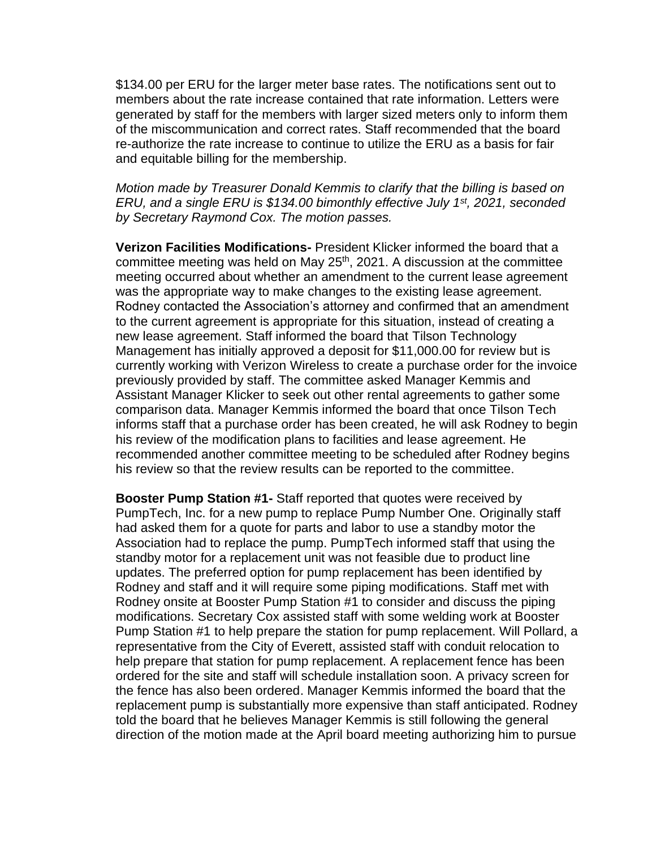\$134.00 per ERU for the larger meter base rates. The notifications sent out to members about the rate increase contained that rate information. Letters were generated by staff for the members with larger sized meters only to inform them of the miscommunication and correct rates. Staff recommended that the board re-authorize the rate increase to continue to utilize the ERU as a basis for fair and equitable billing for the membership.

*Motion made by Treasurer Donald Kemmis to clarify that the billing is based on ERU, and a single ERU is \$134.00 bimonthly effective July 1st, 2021, seconded by Secretary Raymond Cox. The motion passes.*

**Verizon Facilities Modifications-** President Klicker informed the board that a committee meeting was held on May  $25<sup>th</sup>$ , 2021. A discussion at the committee meeting occurred about whether an amendment to the current lease agreement was the appropriate way to make changes to the existing lease agreement. Rodney contacted the Association's attorney and confirmed that an amendment to the current agreement is appropriate for this situation, instead of creating a new lease agreement. Staff informed the board that Tilson Technology Management has initially approved a deposit for \$11,000.00 for review but is currently working with Verizon Wireless to create a purchase order for the invoice previously provided by staff. The committee asked Manager Kemmis and Assistant Manager Klicker to seek out other rental agreements to gather some comparison data. Manager Kemmis informed the board that once Tilson Tech informs staff that a purchase order has been created, he will ask Rodney to begin his review of the modification plans to facilities and lease agreement. He recommended another committee meeting to be scheduled after Rodney begins his review so that the review results can be reported to the committee.

**Booster Pump Station #1-** Staff reported that quotes were received by PumpTech, Inc. for a new pump to replace Pump Number One. Originally staff had asked them for a quote for parts and labor to use a standby motor the Association had to replace the pump. PumpTech informed staff that using the standby motor for a replacement unit was not feasible due to product line updates. The preferred option for pump replacement has been identified by Rodney and staff and it will require some piping modifications. Staff met with Rodney onsite at Booster Pump Station #1 to consider and discuss the piping modifications. Secretary Cox assisted staff with some welding work at Booster Pump Station #1 to help prepare the station for pump replacement. Will Pollard, a representative from the City of Everett, assisted staff with conduit relocation to help prepare that station for pump replacement. A replacement fence has been ordered for the site and staff will schedule installation soon. A privacy screen for the fence has also been ordered. Manager Kemmis informed the board that the replacement pump is substantially more expensive than staff anticipated. Rodney told the board that he believes Manager Kemmis is still following the general direction of the motion made at the April board meeting authorizing him to pursue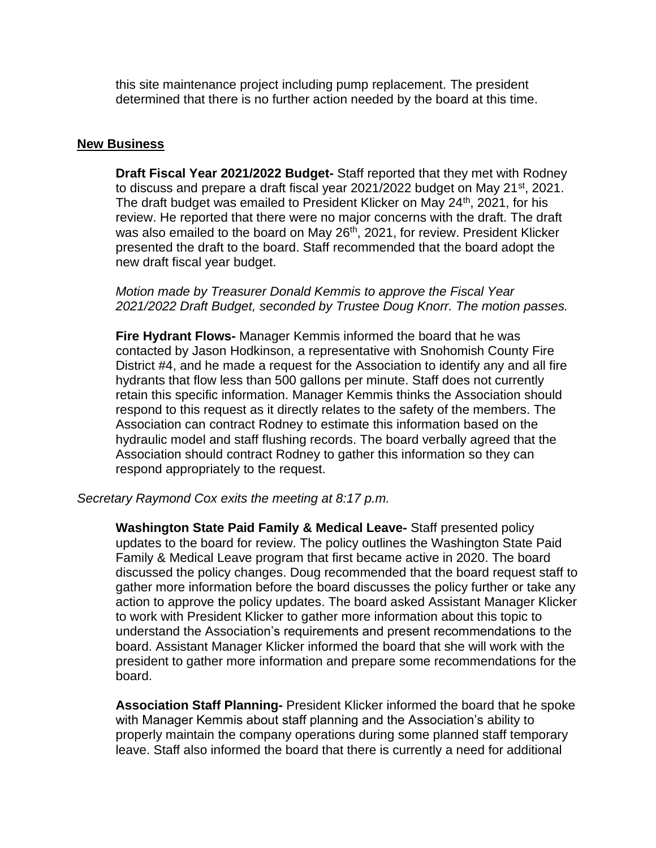this site maintenance project including pump replacement. The president determined that there is no further action needed by the board at this time.

#### **New Business**

**Draft Fiscal Year 2021/2022 Budget-** Staff reported that they met with Rodney to discuss and prepare a draft fiscal year 2021/2022 budget on May 21st, 2021. The draft budget was emailed to President Klicker on May 24<sup>th</sup>, 2021, for his review. He reported that there were no major concerns with the draft. The draft was also emailed to the board on May 26<sup>th</sup>, 2021, for review. President Klicker presented the draft to the board. Staff recommended that the board adopt the new draft fiscal year budget.

*Motion made by Treasurer Donald Kemmis to approve the Fiscal Year 2021/2022 Draft Budget, seconded by Trustee Doug Knorr. The motion passes.*

**Fire Hydrant Flows-** Manager Kemmis informed the board that he was contacted by Jason Hodkinson, a representative with Snohomish County Fire District #4, and he made a request for the Association to identify any and all fire hydrants that flow less than 500 gallons per minute. Staff does not currently retain this specific information. Manager Kemmis thinks the Association should respond to this request as it directly relates to the safety of the members. The Association can contract Rodney to estimate this information based on the hydraulic model and staff flushing records. The board verbally agreed that the Association should contract Rodney to gather this information so they can respond appropriately to the request.

*Secretary Raymond Cox exits the meeting at 8:17 p.m.*

**Washington State Paid Family & Medical Leave-** Staff presented policy updates to the board for review. The policy outlines the Washington State Paid Family & Medical Leave program that first became active in 2020. The board discussed the policy changes. Doug recommended that the board request staff to gather more information before the board discusses the policy further or take any action to approve the policy updates. The board asked Assistant Manager Klicker to work with President Klicker to gather more information about this topic to understand the Association's requirements and present recommendations to the board. Assistant Manager Klicker informed the board that she will work with the president to gather more information and prepare some recommendations for the board.

**Association Staff Planning-** President Klicker informed the board that he spoke with Manager Kemmis about staff planning and the Association's ability to properly maintain the company operations during some planned staff temporary leave. Staff also informed the board that there is currently a need for additional